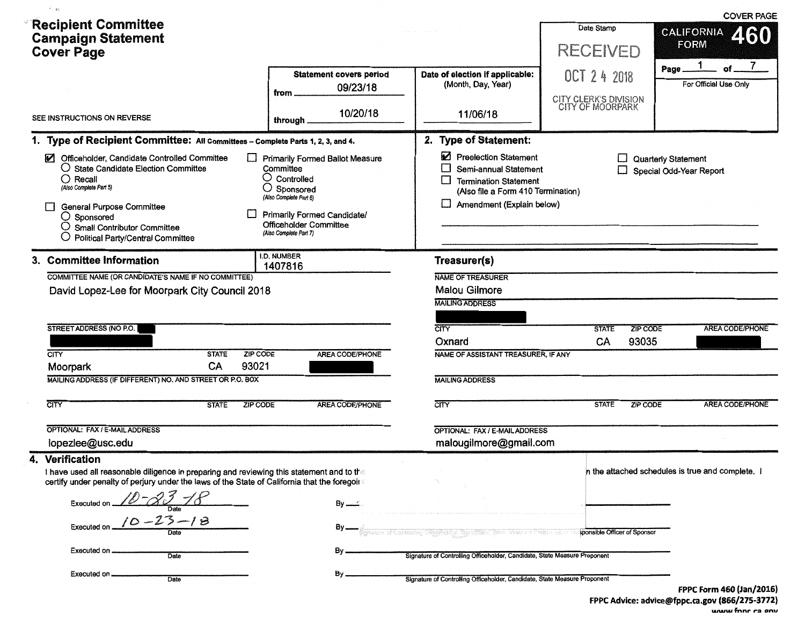|                                                                                                                                                                                                                                                                                               |                                                                                                                                                                                                                  |                                                                                                                                                   |                                           | <b>COVER PAGE</b>                                |
|-----------------------------------------------------------------------------------------------------------------------------------------------------------------------------------------------------------------------------------------------------------------------------------------------|------------------------------------------------------------------------------------------------------------------------------------------------------------------------------------------------------------------|---------------------------------------------------------------------------------------------------------------------------------------------------|-------------------------------------------|--------------------------------------------------|
| <b>Recipient Committee</b><br><b>Campaign Statement</b>                                                                                                                                                                                                                                       |                                                                                                                                                                                                                  |                                                                                                                                                   | Date Stamp                                | <b>CALIFORNIA</b><br>460                         |
| <b>Cover Page</b>                                                                                                                                                                                                                                                                             |                                                                                                                                                                                                                  |                                                                                                                                                   | <b>RECEIVED</b>                           | <b>FORM</b><br>7                                 |
|                                                                                                                                                                                                                                                                                               | <b>Statement covers period</b><br>09/23/18                                                                                                                                                                       | Date of election if applicable:<br>(Month, Day, Year)                                                                                             | OCT 2 4 2018                              | Page.<br>For Official Use Only                   |
|                                                                                                                                                                                                                                                                                               | from .                                                                                                                                                                                                           |                                                                                                                                                   | CITY CLERK'S DIVISION<br>CITY OF MOORPARK |                                                  |
| SEE INSTRUCTIONS ON REVERSE                                                                                                                                                                                                                                                                   | 10/20/18<br>through.                                                                                                                                                                                             | 11/06/18                                                                                                                                          |                                           |                                                  |
| 1. Type of Recipient Committee: All Committees - Complete Parts 1, 2, 3, and 4.                                                                                                                                                                                                               |                                                                                                                                                                                                                  | 2. Type of Statement:                                                                                                                             |                                           |                                                  |
| $\Box$<br>Officeholder, Candidate Controlled Committee<br>○ State Candidate Election Committee<br>$\bigcirc$ Recall<br>(Also Complete Part 5)<br>General Purpose Committee<br>$\bigcirc$ Sponsored<br><b>Small Contributor Committee</b><br>Ö<br>$\bigcirc$ Political Party/Central Committee | <b>Primarily Formed Ballot Measure</b><br>Committee<br>$\bigcirc$ Controlled<br>$\bigcirc$ Sponsored<br>(Also Complete Part 6)<br>Primanly Formed Candidate/<br>Officeholder Committee<br>(Also Complete Part 7) | Preelection Statement<br>Semi-annual Statement<br><b>Termination Statement</b><br>(Also file a Form 410 Termination)<br>Amendment (Explain below) |                                           | Quarterly Statement<br>Special Odd-Year Report   |
| 3. Committee Information                                                                                                                                                                                                                                                                      | I.D. NUMBER<br>1407816                                                                                                                                                                                           | Treasurer(s)                                                                                                                                      |                                           |                                                  |
| COMMITTEE NAME (OR CANDIDATE'S NAME IF NO COMMITTEE)                                                                                                                                                                                                                                          |                                                                                                                                                                                                                  | <b>NAME OF TREASURER</b>                                                                                                                          |                                           |                                                  |
| David Lopez-Lee for Moorpark City Council 2018                                                                                                                                                                                                                                                |                                                                                                                                                                                                                  | <b>Malou Gilmore</b>                                                                                                                              |                                           |                                                  |
|                                                                                                                                                                                                                                                                                               |                                                                                                                                                                                                                  | <b>MAILING ADDRESS</b>                                                                                                                            |                                           |                                                  |
| STREET ADDRESS (NO P.O.                                                                                                                                                                                                                                                                       |                                                                                                                                                                                                                  | CITY                                                                                                                                              | <b>ZIP CODE</b><br><b>STATE</b>           | AREA CODE/PHONE                                  |
|                                                                                                                                                                                                                                                                                               |                                                                                                                                                                                                                  | Oxnard                                                                                                                                            | CA<br>93035                               |                                                  |
| <b>CITY</b><br>ZIP CODE<br><b>STATE</b>                                                                                                                                                                                                                                                       | <b>AREA CODE/PHONE</b>                                                                                                                                                                                           | NAME OF ASSISTANT TREASURER, IF ANY                                                                                                               |                                           |                                                  |
| 93021<br>CA<br>Moorpark                                                                                                                                                                                                                                                                       |                                                                                                                                                                                                                  |                                                                                                                                                   |                                           |                                                  |
| MAILING ADDRESS (IF DIFFERENT) NO. AND STREET OR P.O. BOX                                                                                                                                                                                                                                     |                                                                                                                                                                                                                  | <b>MAILING ADDRESS</b>                                                                                                                            |                                           |                                                  |
| CITY<br><b>STATE</b><br><b>ZIP CODE</b>                                                                                                                                                                                                                                                       | <b>AREA CODE/PHONE</b>                                                                                                                                                                                           | CITY                                                                                                                                              | <b>ZIP CODE</b><br><b>STATE</b>           | <b>AREA CODE/PHONE</b>                           |
| OPTIONAL: FAX / E-MAIL ADDRESS                                                                                                                                                                                                                                                                |                                                                                                                                                                                                                  | OPTIONAL: FAX / E-MAIL ADDRESS                                                                                                                    |                                           |                                                  |
| lopezlee@usc.edu                                                                                                                                                                                                                                                                              |                                                                                                                                                                                                                  | malougilmore@gmail.com                                                                                                                            |                                           |                                                  |
| 4. Verification<br>t have used all reasonable diligence in preparing and reviewing this statement and to the<br>certify under penalty of perjury under the laws of the State of California that the foregoin                                                                                  |                                                                                                                                                                                                                  |                                                                                                                                                   |                                           | n the attached schedules is true and complete. I |
| Executed on $10 - 23 - 18$                                                                                                                                                                                                                                                                    |                                                                                                                                                                                                                  |                                                                                                                                                   |                                           |                                                  |
| Executed on $10 - 23 - 18$                                                                                                                                                                                                                                                                    |                                                                                                                                                                                                                  | hannelin a Carmanny Chydraethy agus dheiri "Ann Sannis Caelais an C                                                                               | sponsible Officer of Sponsor              |                                                  |
| Executed on<br>Date                                                                                                                                                                                                                                                                           |                                                                                                                                                                                                                  | Signature of Controlling Officeholder, Candidate, State Measure Proponent                                                                         |                                           |                                                  |
| Executed on<br>Date                                                                                                                                                                                                                                                                           | By.                                                                                                                                                                                                              | Signature of Controlling Officeholder, Candidate, State Measure Proponent                                                                         |                                           | FPPC Form 460 (Jan/2016)                         |

FPPC Advice: advice@fppc.ca.gov (866/275-3772)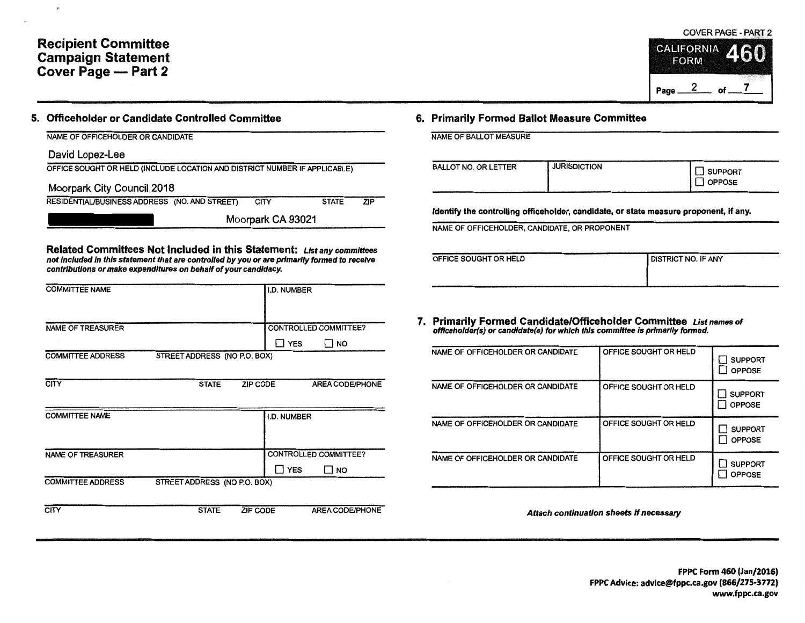## Recipient Committee Campaign Statement Cover Page - Part 2

## 5. Officeholder or Candidate Controlled Committee

| David Lopez-Lee |  |  |
|-----------------|--|--|
|-----------------|--|--|

|  |  | OFFICE SOUGHT OR HELD (INCLUDE LOCATION AND DISTRICT NUMBER IF APPLICABLE) |
|--|--|----------------------------------------------------------------------------|
|  |  |                                                                            |

| Moorpark City Council 2018 |  |
|----------------------------|--|
|----------------------------|--|

| RESIDENTIAL/BUSINESS ADDRESS (NO. AND STREET) | <b>CITY</b> | <b>STATE</b> | ZIP |
|-----------------------------------------------|-------------|--------------|-----|
|                                               |             |              |     |

Moorpark CA 93021

Related Committees Not Included in this Statement: List any committees not Included In this statement that are controlled by you or are primarily formed to receive contributions or make expenditures on behalf of your candidacy.

| <b>COMMITTEE NAME</b>    |                              |                 | I.D. NUMBER        |                              |
|--------------------------|------------------------------|-----------------|--------------------|------------------------------|
|                          |                              |                 |                    |                              |
|                          |                              |                 |                    |                              |
|                          |                              |                 |                    |                              |
| NAME OF TREASURER        |                              |                 |                    | <b>CONTROLLED COMMITTEE?</b> |
|                          |                              |                 | Π YES              | ⊡ NO                         |
| <b>COMMITTEE ADDRESS</b> | STREET ADDRESS (NO P.O. BOX) |                 |                    |                              |
|                          |                              |                 |                    |                              |
| <b>CITY</b>              | <b>STATE</b>                 | <b>ZIP CODE</b> |                    | <b>AREA CODE/PHONE</b>       |
|                          |                              |                 |                    |                              |
|                          |                              |                 |                    |                              |
| <b>COMMITTEE NAME</b>    |                              |                 | <b>I.D. NUMBER</b> |                              |
|                          |                              |                 |                    |                              |
|                          |                              |                 |                    |                              |
|                          |                              |                 |                    |                              |
| <b>NAME OF TREASURER</b> |                              |                 |                    | CONTROLLED COMMITTEE?        |
|                          |                              |                 | $\Box$ YES         | $\Box$ NO                    |
| <b>COMMITTEE ADDRESS</b> | STREET ADDRESS (NO P.O. BOX) |                 |                    |                              |
|                          |                              |                 |                    |                              |
|                          |                              |                 |                    |                              |
| CITY                     | <b>STATE</b>                 | <b>ZIP CODE</b> |                    | <b>AREA CODE/PHONE</b>       |

## 6. Primarily Formed Ballot Measure Committee

NAME OF BALLOT MEASURE

| <b>BALLOT NO. OR LETTER</b> | <b>JURISDICTION</b> | SUPPORT<br>J OPPOSE |
|-----------------------------|---------------------|---------------------|
|-----------------------------|---------------------|---------------------|

Identify the controlling officeholder, candidate, or state measure proponent, if any.

NAME OF OFFICEHOLDER, CANDIDATE, OR PROPONENT

| OFFICE SOUGHT OR HELD | <b>I DISTRICT NO. IF ANY</b> |
|-----------------------|------------------------------|
|                       |                              |
|                       |                              |

7. Primarily Formed Candidate/Officeholder Committee List names of offlceholder(s) or candldate(s) for which this committee is primarily formed.

| NAME OF OFFICEHOLDER OR CANDIDATE | OFFICE SOUGHT OR HELD | <b>SUPPORT</b><br><b>OPPOSE</b> |
|-----------------------------------|-----------------------|---------------------------------|
| NAME OF OFFICEHOLDER OR CANDIDATE | OFFICE SOUGHT OR HELD | <b>SUPPORT</b><br><b>OPPOSE</b> |
| NAME OF OFFICEHOLDER OR CANDIDATE | OFFICE SOUGHT OR HELD | <b>SUPPORT</b><br><b>OPPOSE</b> |
| NAME OF OFFICEHOLDER OR CANDIDATE | OFFICE SOUGHT OR HELD | <b>SUPPORT</b><br><b>OPPOSE</b> |

Attach continuation sheets If necessary



**CALIFORNIA FORM** 

Page  $2$  of  $7$ 

*SS.CU*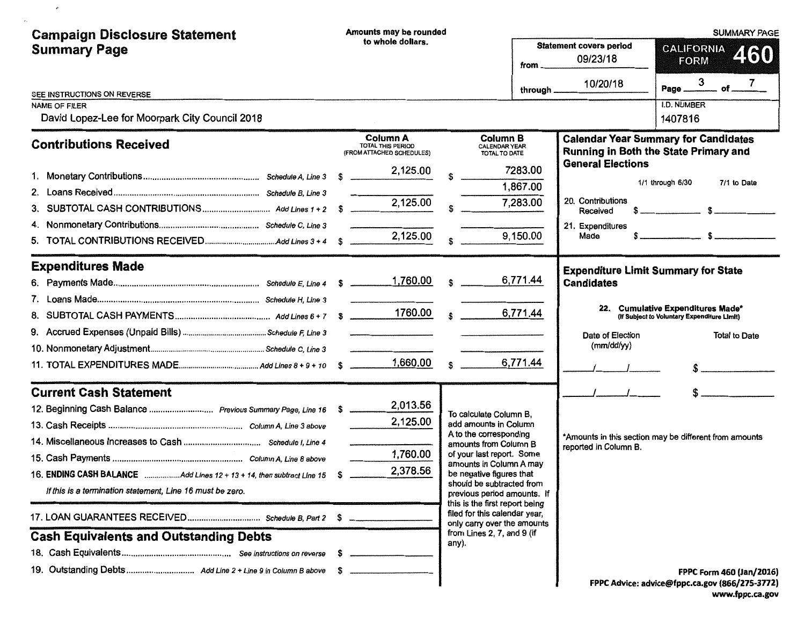| <b>Campaign Disclosure Statement</b><br><b>Summary Page</b>                                    | Amounts may be rounded<br>to whole dollars.                              |                                                                                                           | <b>Statement covers period</b> | <b>SUMMARY PAGE</b><br><b>CALIFORNIA</b><br>460<br><b>FORM</b>  |                                                                                                          |
|------------------------------------------------------------------------------------------------|--------------------------------------------------------------------------|-----------------------------------------------------------------------------------------------------------|--------------------------------|-----------------------------------------------------------------|----------------------------------------------------------------------------------------------------------|
|                                                                                                |                                                                          |                                                                                                           | from _<br>through _            | 09/23/18<br>10/20/18                                            | 3<br>7<br>$-$ of $-$<br>Page _                                                                           |
| SEE INSTRUCTIONS ON REVERSE<br>NAME OF FILER<br>David Lopez-Lee for Moorpark City Council 2018 |                                                                          |                                                                                                           |                                |                                                                 | <b>I.D. NUMBER</b><br>1407816                                                                            |
| <b>Contributions Received</b>                                                                  | <b>Column A</b><br><b>TOTAL THIS PERIOD</b><br>(FROM ATTACHED SCHEDULES) | <b>Column B</b><br><b>CALENDAR YEAR</b><br>TOTAL TO DATE                                                  |                                |                                                                 | <b>Calendar Year Summary for Candidates</b><br>Running in Both the State Primary and                     |
|                                                                                                | 2,125.00                                                                 |                                                                                                           | 7283.00<br>1,867.00            | <b>General Elections</b>                                        | 1/1 through 6/30<br>7/1 to Date                                                                          |
|                                                                                                | 2,125.00                                                                 |                                                                                                           | 7,283.00                       | 20. Contributions<br>Received<br>21. Expenditures               |                                                                                                          |
| 5.                                                                                             | 2,125.00                                                                 |                                                                                                           | 9,150.00                       | Made                                                            |                                                                                                          |
| <b>Expenditures Made</b>                                                                       |                                                                          | s                                                                                                         | 6,771.44                       | <b>Expenditure Limit Summary for State</b><br><b>Candidates</b> |                                                                                                          |
| 8.                                                                                             |                                                                          | $1760.00$ s                                                                                               | 6,771.44                       | Date of Election                                                | 22. Cumulative Expenditures Made*<br>(If Subject to Voluntary Expenditure Limit)<br><b>Total to Date</b> |
|                                                                                                | 1,660.00                                                                 | $\mathbf{s}$                                                                                              | 6,771.44                       | (mm/dd/yy)                                                      |                                                                                                          |
| <b>Current Cash Statement</b>                                                                  |                                                                          |                                                                                                           |                                |                                                                 |                                                                                                          |
| 12. Beginning Cash Balance  Previous Summary Page, Line 16 \$                                  | 2,013.56<br>2,125.00                                                     | To calculate Column B.<br>add amounts in Column<br>A to the corresponding                                 |                                |                                                                 | *Amounts in this section may be different from amounts                                                   |
| 16. ENDING CASH BALANCE Add Lines 12 + 13 + 14, then subtract Line 15                          | 1,760.00<br>2,378.56                                                     | amounts from Column B<br>of your last report. Some<br>amounts in Column A may<br>be negative figures that |                                | reported in Column B.                                           |                                                                                                          |
| If this is a termination statement, Line 16 must be zero.                                      |                                                                          | should be subtracted from<br>previous period amounts. If<br>this is the first report being                |                                |                                                                 |                                                                                                          |
| <b>Cash Equivalents and Outstanding Debts</b>                                                  |                                                                          | filed for this calendar year,<br>only carry over the amounts<br>from Lines 2, 7, and 9 (if                |                                |                                                                 |                                                                                                          |
|                                                                                                |                                                                          | any).                                                                                                     |                                |                                                                 |                                                                                                          |
|                                                                                                |                                                                          |                                                                                                           |                                |                                                                 | FPPC Form 460 (Jan/2016)<br>FPPC Advice: advice@fppc.ca.gov (866/275-3772)                               |

 $\mathcal{O}$ 

www.fppc.ca.gov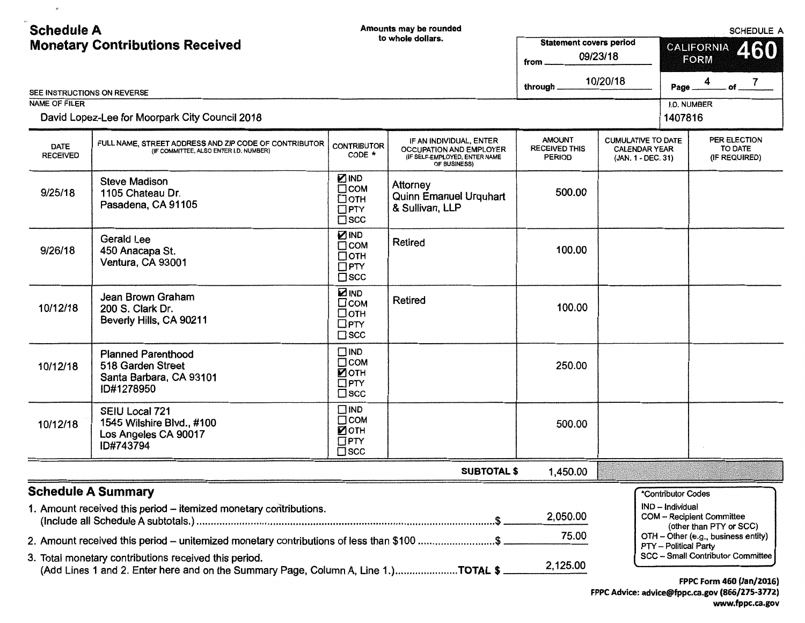| <b>Schedule A</b>                                   | <b>Monetary Contributions Received</b>                                                                                                      |                                                                           | Amounts may be rounded<br>to whole dollars.                                                                | <b>Statement covers period</b>                         |                                                                         | SCHEDULE A<br>460<br><b>CALIFORNIA</b>                         |
|-----------------------------------------------------|---------------------------------------------------------------------------------------------------------------------------------------------|---------------------------------------------------------------------------|------------------------------------------------------------------------------------------------------------|--------------------------------------------------------|-------------------------------------------------------------------------|----------------------------------------------------------------|
|                                                     |                                                                                                                                             |                                                                           |                                                                                                            | from .                                                 | 09/23/18                                                                | <b>FORM</b>                                                    |
|                                                     |                                                                                                                                             |                                                                           |                                                                                                            | through.                                               | 10/20/18                                                                | of $^7$<br>Page                                                |
| SEE INSTRUCTIONS ON REVERSE<br><b>NAME OF FILER</b> |                                                                                                                                             |                                                                           |                                                                                                            |                                                        |                                                                         | I.D. NUMBER                                                    |
|                                                     | David Lopez-Lee for Moorpark City Council 2018                                                                                              |                                                                           |                                                                                                            |                                                        |                                                                         | 1407816                                                        |
| <b>DATE</b><br><b>RECEIVED</b>                      | FULL NAME, STREET ADDRESS AND ZIP CODE OF CONTRIBUTOR<br>(IF COMMITTEE, ALSO ENTER I.D. NUMBER)                                             | <b>CONTRIBUTOR</b><br>CODE *                                              | IF AN INDIVIDUAL, ENTER<br><b>OCCUPATION AND EMPLOYER</b><br>(IF SELF-EMPLOYED, ENTER NAME<br>OF BUSINESS) | <b>AMOUNT</b><br><b>RECEIVED THIS</b><br><b>PERIOD</b> | <b>CUMULATIVE TO DATE</b><br><b>CALENDAR YEAR</b><br>(JAN. 1 - DEC. 31) | PER ELECTION<br>TO DATE<br>(IF REQUIRED)                       |
| 9/25/18                                             | <b>Steve Madison</b><br>1105 Chateau Dr.<br>Pasadena, CA 91105                                                                              | <b>ZIND</b><br>$\Box$ COM<br>$\Box$ OTH<br>$\Box$ PTY<br>$\square$ scc    | Attorney<br>Quinn Emanuel Urquhart<br>& Sullivan, LLP                                                      | 500.00                                                 |                                                                         |                                                                |
| 9/26/18                                             | Gerald Lee<br>450 Anacapa St.<br>Ventura, CA 93001                                                                                          | <b>ZIND</b><br>$\Box$ COM<br>$\Box$ OTH<br>$\Box$ PTY<br>$\square$ scc    | Retired                                                                                                    | 100.00                                                 |                                                                         |                                                                |
| 10/12/18                                            | Jean Brown Graham<br>200 S. Clark Dr.<br>Beverly Hills, CA 90211                                                                            | <b>ZIND</b><br>$\square$ COM<br>$\Box$ OTH<br>$\Box$ PTY<br>$\square$ scc | Retired                                                                                                    | 100.00                                                 |                                                                         |                                                                |
| 10/12/18                                            | <b>Planned Parenthood</b><br>518 Garden Street<br>Santa Barbara, CA 93101<br>ID#1278950                                                     | $\Box$ IND<br>$\Box$ COM<br>■ОТН<br>$\square$ PTY<br>$\square$ scc        |                                                                                                            | 250.00                                                 |                                                                         |                                                                |
| 10/12/18                                            | SEIU Local 721<br>1545 Wilshire Blvd., #100<br>Los Angeles CA 90017<br>ID#743794                                                            | $\square$ IND<br>$\Box$ COM<br>■ОТН<br>$\square$ PTY<br>$\square$ scc     |                                                                                                            | 500.00                                                 |                                                                         |                                                                |
|                                                     |                                                                                                                                             |                                                                           | <b>SUBTOTAL \$</b>                                                                                         | 1,450.00                                               |                                                                         |                                                                |
|                                                     | <b>Schedule A Summary</b>                                                                                                                   |                                                                           |                                                                                                            |                                                        |                                                                         | *Contributor Codes                                             |
|                                                     | 1. Amount received this period - itemized monetary contributions.                                                                           |                                                                           |                                                                                                            | 2,050.00                                               |                                                                         | IND - Individual<br><b>COM - Recipient Committee</b>           |
|                                                     | 2. Amount received this period - unitemized monetary contributions of less than \$100 \$                                                    |                                                                           |                                                                                                            | 75.00                                                  |                                                                         | (other than PTY or SCC)<br>OTH - Other (e.g., business entity) |
|                                                     | 3. Total monetary contributions received this period.<br>(Add Lines 1 and 2. Enter here and on the Summary Page, Column A, Line 1.)TOTAL \$ |                                                                           |                                                                                                            | 2,125.00                                               |                                                                         | PTY - Political Party<br>SCC - Small Contributor Committee     |

 $\sigma$ 

FPPC Form 460 (Jan/2016) FPPC Advice: advice@fppc.ca.gov (866/275-3772) www.fppc.ca.gov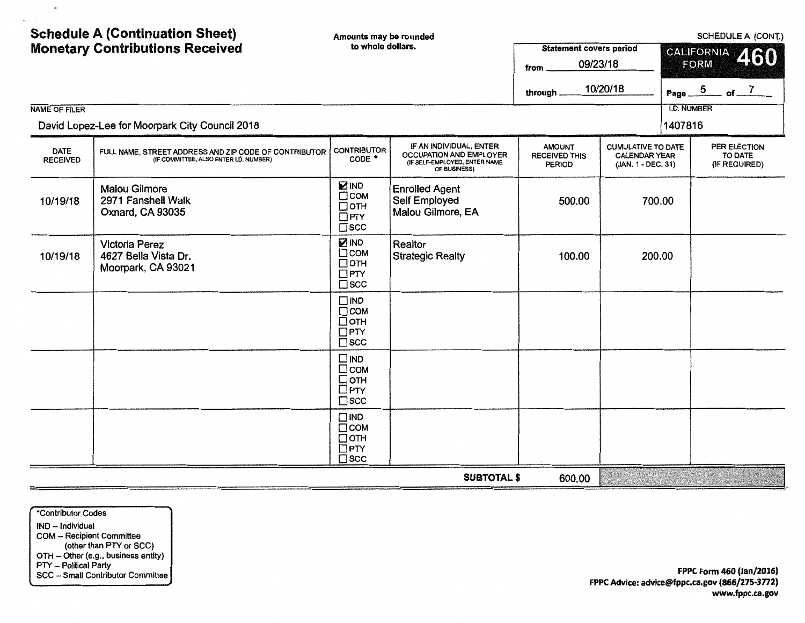| <b>Schedule A (Continuation Sheet)</b><br><b>Monetary Contributions Received</b><br><b>NAME OF FILER</b><br>David Lopez-Lee for Moorpark City Council 2018 |                                                                                                 | Amounts may be rounded<br>to whole dollars.                            |                                                                                                     | <b>Statement covers period</b><br>09/23/18<br>from<br>through. | 10/20/18                                                                | SCHEDULE A (CONT.)<br><b>CALIFORNIA</b><br>460<br><b>FORM</b><br>Page $-5$<br>$-$ of $ \frac{7}{2}$<br><b>I.D. NUMBER</b><br>1407816 |                                          |
|------------------------------------------------------------------------------------------------------------------------------------------------------------|-------------------------------------------------------------------------------------------------|------------------------------------------------------------------------|-----------------------------------------------------------------------------------------------------|----------------------------------------------------------------|-------------------------------------------------------------------------|--------------------------------------------------------------------------------------------------------------------------------------|------------------------------------------|
| <b>DATE</b><br><b>RECEIVED</b>                                                                                                                             | FULL NAME, STREET ADDRESS AND ZIP CODE OF CONTRIBUTOR<br>(IF COMMITTEE, ALSO ENTER I.D. NUMBER) | <b>CONTRIBUTOR</b><br>CODE <sup>*</sup>                                | IF AN INDIVIDUAL, ENTER<br>OCCUPATION AND EMPLOYER<br>(IF SELF-EMPLOYED, ENTER NAME<br>OF BUSINESS) | <b>AMOUNT</b><br><b>RECEIVED THIS</b><br><b>PERIOD</b>         | <b>CUMULATIVE TO DATE</b><br><b>CALENDAR YEAR</b><br>(JAN. 1 - DEC. 31) |                                                                                                                                      | PER ELECTION<br>TO DATE<br>(IF REQUIRED) |
| 10/19/18                                                                                                                                                   | <b>Malou Gilmore</b><br>2971 Fanshell Walk<br>Oxnard, CA 93035                                  | <b>ZIND</b><br>$\Box$ COM<br>□отн<br>$\Box$ PTY<br>$\square$ scc       | <b>Enrolled Agent</b><br><b>Self Employed</b><br>Malou Gilmore, EA                                  | 500.00                                                         | 700.00                                                                  |                                                                                                                                      |                                          |
| 10/19/18                                                                                                                                                   | <b>Victoria Perez</b><br>4627 Bella Vista Dr.<br>Moorpark, CA 93021                             | <b>ZIND</b><br>$\Box$ COM<br>$\Box$ OTH<br>$\Box$ PTY<br>$\square$ scc | Realtor<br><b>Strategic Realty</b>                                                                  | 100.00                                                         | 200.00                                                                  |                                                                                                                                      |                                          |
|                                                                                                                                                            |                                                                                                 | $\Box$ IND<br>$\Box$ COM<br>$\Box$ OTH<br>$\Box$ PTY<br>$\square$ scc  |                                                                                                     |                                                                |                                                                         |                                                                                                                                      |                                          |
|                                                                                                                                                            |                                                                                                 | $\square$ IND<br>□сом<br>Потн<br>$\square$ PTY<br>$\square$ scc        |                                                                                                     |                                                                |                                                                         |                                                                                                                                      |                                          |
|                                                                                                                                                            |                                                                                                 | $\Box$ IND<br>$\Box$ COM<br>$\Box$ OTH<br>$\Box$ PTY<br>$\square$ scc  |                                                                                                     |                                                                |                                                                         |                                                                                                                                      |                                          |
|                                                                                                                                                            |                                                                                                 |                                                                        | <b>SUBTOTAL \$</b>                                                                                  | 600.00                                                         |                                                                         |                                                                                                                                      |                                          |

\*Contributor Codes IND - Individual COM - Recipient Committee (other than PTY or SCC) OTH - Other (e.g., business entity) PTY - Political Party SCC - Small Contributor Committee

 $\mathfrak{G}$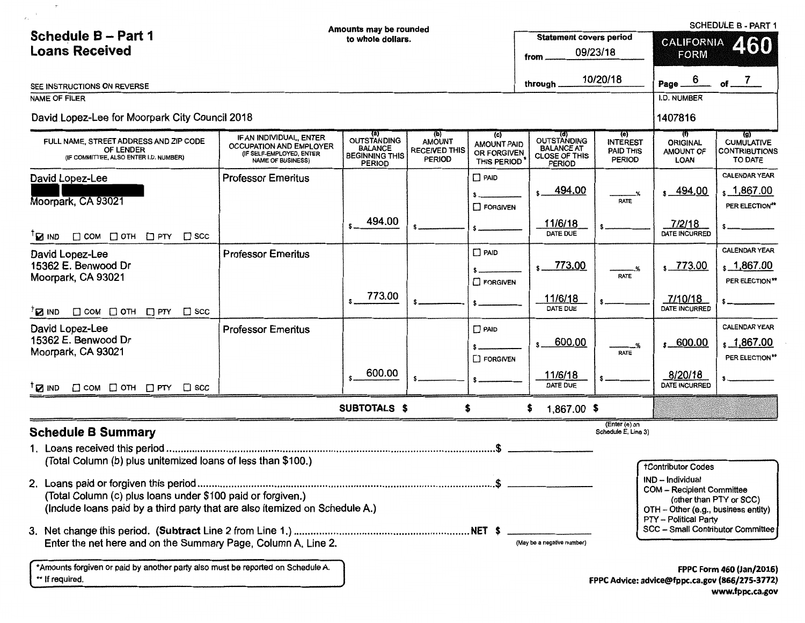|                                                                                                                                            | Amounts may be rounded                                                                                            |                                                                                       |                                                        |                                                         |                                                                                  | SCHEDULE B - PART 1                                  |                                                                                                                                           |                                                                                   |  |
|--------------------------------------------------------------------------------------------------------------------------------------------|-------------------------------------------------------------------------------------------------------------------|---------------------------------------------------------------------------------------|--------------------------------------------------------|---------------------------------------------------------|----------------------------------------------------------------------------------|------------------------------------------------------|-------------------------------------------------------------------------------------------------------------------------------------------|-----------------------------------------------------------------------------------|--|
| Schedule B - Part 1                                                                                                                        |                                                                                                                   | to whole dollars.                                                                     |                                                        |                                                         | <b>Statement covers period</b>                                                   |                                                      | <b>CALIFORNIA</b><br>460                                                                                                                  |                                                                                   |  |
| <b>Loans Received</b>                                                                                                                      | 09/23/18<br>from                                                                                                  |                                                                                       |                                                        | <b>FORM</b>                                             |                                                                                  |                                                      |                                                                                                                                           |                                                                                   |  |
|                                                                                                                                            | 10/20/18                                                                                                          |                                                                                       |                                                        |                                                         |                                                                                  |                                                      |                                                                                                                                           |                                                                                   |  |
| SEE INSTRUCTIONS ON REVERSE                                                                                                                |                                                                                                                   |                                                                                       |                                                        |                                                         | through.                                                                         |                                                      | 6<br>Page_                                                                                                                                | $of$ <sup>7</sup>                                                                 |  |
| NAME OF FILER                                                                                                                              |                                                                                                                   |                                                                                       |                                                        |                                                         |                                                                                  |                                                      | <b>I.D. NUMBER</b>                                                                                                                        |                                                                                   |  |
| David Lopez-Lee for Moorpark City Council 2018                                                                                             |                                                                                                                   |                                                                                       |                                                        |                                                         |                                                                                  |                                                      | 1407816                                                                                                                                   |                                                                                   |  |
| FULL NAME. STREET ADDRESS AND ZIP CODE<br>OF LENDER<br>(IF COMMITTEE, ALSO ENTER I.D. NUMBER)                                              | IF AN INDIVIDUAL, ENTER<br><b>OCCUPATION AND EMPLOYER</b><br>(IF SELF-EMPLOYED, ENTER<br><b>NAME OF BUSINESS)</b> | (a)<br><b>OUTSTANDING</b><br><b>BALANCE</b><br><b>BEGINNING THIS</b><br><b>PERIOD</b> | (b)<br>AMOUNT<br><b>RECEIVED THIS</b><br><b>PERIOD</b> | (c)<br><b>AMOUNT PAID</b><br>OR FORGIVEN<br>THIS PERIOD | (d)<br>OUTSTANDING<br><b>BALANCE AT</b><br><b>CLOSE OF THIS</b><br><b>PERIOD</b> | (e)<br><b>INTEREST</b><br>PAID THIS<br><b>PERIOD</b> | $_{(t)}$<br><b>ORIGINAL</b><br>AMOUNT OF<br><b>LOAN</b>                                                                                   | $\overline{g}$<br><b>CUMULATIVE</b><br><b>CONTRIBUTIONS</b><br>TO DATE            |  |
| David Lopez-Lee                                                                                                                            | <b>Professor Emeritus</b>                                                                                         |                                                                                       |                                                        | $\Box$ PAID                                             |                                                                                  |                                                      |                                                                                                                                           | <b>CALENDAR YEAR</b>                                                              |  |
| Moorpark, CA 93021                                                                                                                         |                                                                                                                   |                                                                                       |                                                        | <b>FORGIVEN</b>                                         | $s$ 494.00                                                                       | -%<br><b>RATE</b>                                    | $s - 494.00$                                                                                                                              | $\frac{1,867.00}{2}$<br>PER ELECTION**                                            |  |
| $\Box$ COM $\Box$ OTH $\Box$ PTY $\Box$ SCC<br>$\mathbf{B}$ ind                                                                            |                                                                                                                   | 494.00                                                                                |                                                        |                                                         | 11/6/18<br>DATE DUE                                                              |                                                      | 7/2/18<br><b>DATE INCURRED</b>                                                                                                            |                                                                                   |  |
| David Lopez-Lee                                                                                                                            | <b>Professor Emeritus</b>                                                                                         |                                                                                       |                                                        | $\Box$ PAID                                             |                                                                                  |                                                      |                                                                                                                                           | CALENDAR YEAR                                                                     |  |
| 15362 E. Benwood Dr                                                                                                                        |                                                                                                                   |                                                                                       |                                                        |                                                         | 773.00<br>s                                                                      |                                                      | $\frac{1}{2}$ 773.00                                                                                                                      | $\frac{1,867.00}{2}$                                                              |  |
| Moorpark, CA 93021                                                                                                                         |                                                                                                                   |                                                                                       |                                                        | $\Box$ FORGIVEN                                         |                                                                                  | <b>RATE</b>                                          |                                                                                                                                           | PER ELECTION <sup>**</sup>                                                        |  |
| $^{\dagger}$ <b>E</b> ind<br>$\Box$ COM $\Box$ OTH $\Box$ PTY<br>$\square$ scc                                                             |                                                                                                                   | 773.00                                                                                |                                                        |                                                         | 11/6/18<br>DATE DUE                                                              |                                                      | 7/10/18<br>DATE INCURRED                                                                                                                  |                                                                                   |  |
| David Lopez-Lee                                                                                                                            | <b>Professor Ementus</b>                                                                                          |                                                                                       |                                                        | $\Box$ PAID                                             |                                                                                  |                                                      |                                                                                                                                           | CALENDAR YEAR                                                                     |  |
| 15362 E. Benwood Dr<br>Moorpark, CA 93021                                                                                                  |                                                                                                                   |                                                                                       |                                                        | <b>FORGIVEN</b>                                         | 600.00<br>$\mathbf{s}$                                                           | RATE                                                 | $s - 600.00$                                                                                                                              | \$1,867.00<br>PER ELECTION**                                                      |  |
| $\Box$ COM $\Box$ OTH $\Box$ PTY $\Box$ SCC<br><sup>T</sup> <b>M</b> <sub>I</sub> ND                                                       |                                                                                                                   | 600.00                                                                                |                                                        |                                                         | 11/6/18<br>DATE DUE                                                              |                                                      | 8/20/18<br><b>DATE INCURRED</b>                                                                                                           |                                                                                   |  |
|                                                                                                                                            |                                                                                                                   | <b>SUBTOTALS \$</b>                                                                   |                                                        | \$                                                      | 1,867.00 \$                                                                      |                                                      |                                                                                                                                           |                                                                                   |  |
| <b>Schedule B Summary</b>                                                                                                                  |                                                                                                                   |                                                                                       |                                                        |                                                         |                                                                                  | (Enter (e) on<br>Schedule E, Line 3)                 |                                                                                                                                           |                                                                                   |  |
| (Total Column (b) plus unitemized loans of less than \$100.)                                                                               |                                                                                                                   |                                                                                       |                                                        |                                                         |                                                                                  |                                                      | <b>tContributor Codes</b>                                                                                                                 |                                                                                   |  |
| (Total Column (c) plus loans under \$100 paid or forgiven.)<br>(Include loans paid by a third party that are also itemized on Schedule A.) |                                                                                                                   |                                                                                       |                                                        |                                                         |                                                                                  |                                                      | IND - Individual<br>COM -- Recipient Committee<br>(other than PTY or SCC)<br>OTH - Other (e.g., business entity)<br>PTY - Political Party |                                                                                   |  |
| Enter the net here and on the Summary Page, Column A, Line 2.                                                                              |                                                                                                                   |                                                                                       |                                                        |                                                         | (May be a negative number)                                                       |                                                      | SCC - Small Contributor Committee                                                                                                         |                                                                                   |  |
| *Amounts forgiven or paid by another party also must be reported on Schedule A.<br>** If required.                                         |                                                                                                                   |                                                                                       |                                                        |                                                         |                                                                                  |                                                      |                                                                                                                                           | <b>FPPC Form 460 (Jan/2016)</b><br>FPPC Advice: advice@fppc.ca.gov (866/275-3772) |  |

 $\tau$ 

 $\bar{a}$ 

FPPC Advice: advice@fppc.ca.gov (866/275-3772) www.fppc.ca.gov

 $\sim$